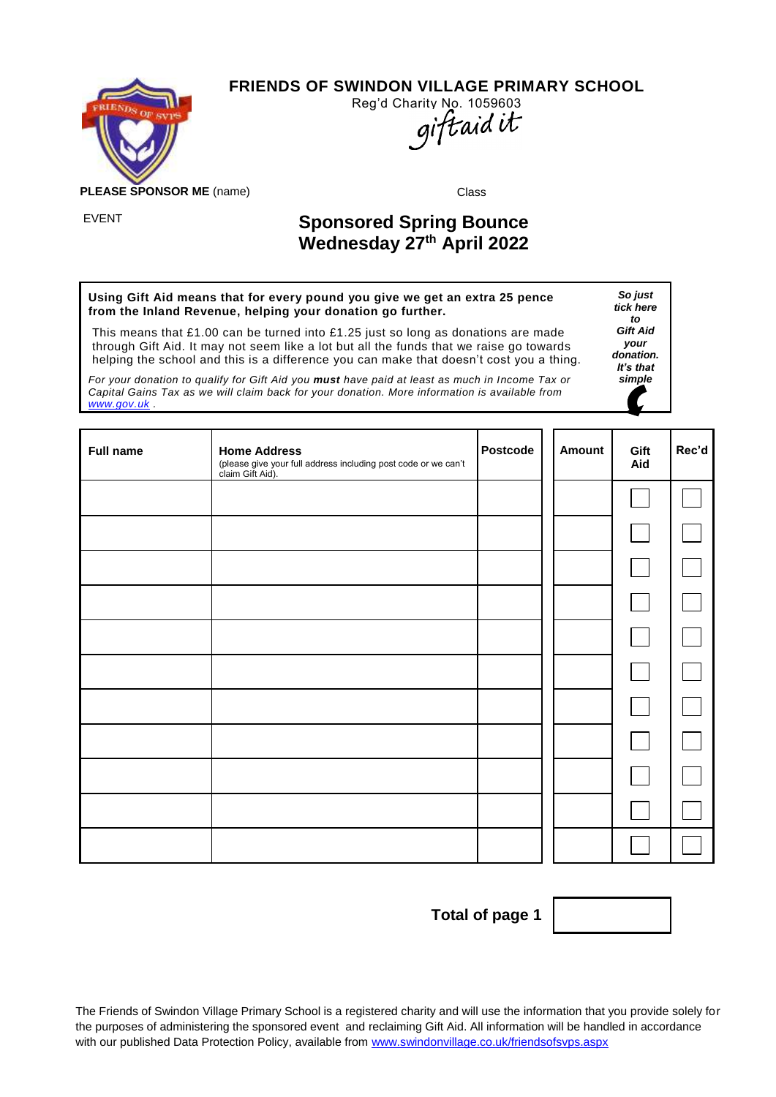

**FRIENDS OF SWINDON VILLAGE PRIMARY SCHOOL**



**PLEASE SPONSOR ME** (name) Class

## EVENT **Sponsored Spring Bounce Wednesday 27th April 2022**

**Using Gift Aid means that for every pound you give we get an extra 25 pence from the Inland Revenue, helping your donation go further.**

This means that £1.00 can be turned into £1.25 just so long as donations are made through Gift Aid. It may not seem like a lot but all the funds that we raise go towards helping the school and this is a difference you can make that doesn't cost you a thing.

*For your donation to qualify for Gift Aid you must have paid at least as much in Income Tax or Capital Gains Tax as we will claim back for your donation. More information is available from [www.gov.uk](http://www.gov.uk/) .*

**Full name Home Address** (please give your full address including post code or we can't claim Gift Aid). **Postcode** | Amount | Gift **Aid Rec'd**

**Total of page 1**



The Friends of Swindon Village Primary School is a registered charity and will use the information that you provide solely for the purposes of administering the sponsored event and reclaiming Gift Aid. All information will be handled in accordance with our published Data Protection Policy, available from [www.swindonvillage.co.uk/friendsofsvps.aspx](http://www.swindonvillage.co.uk/friendsofsvps.aspx)

*So just tick here to Gift Aid your donation. It's that simple*